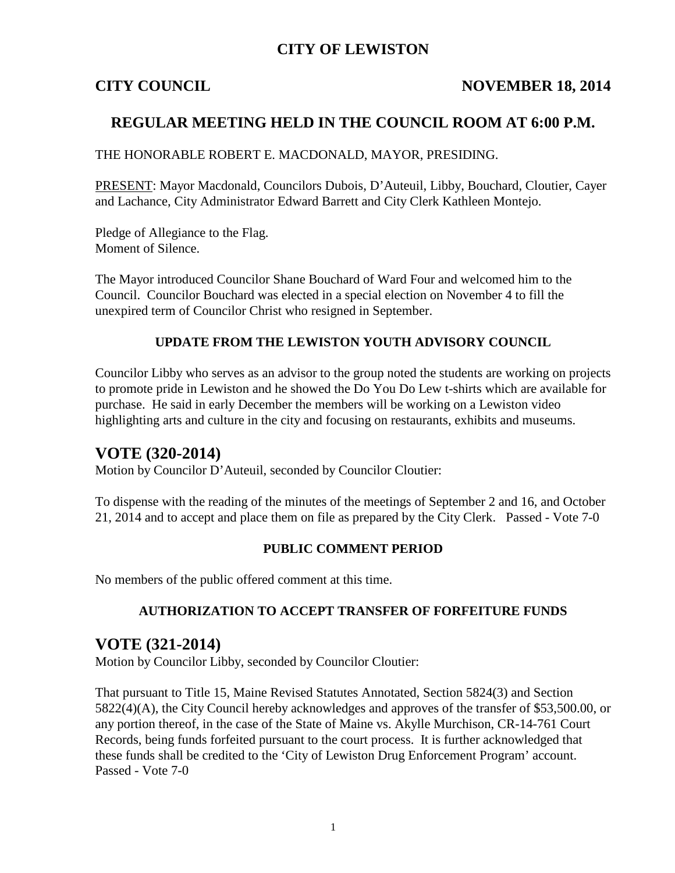## **CITY OF LEWISTON**

## **CITY COUNCIL NOVEMBER 18, 2014**

## **REGULAR MEETING HELD IN THE COUNCIL ROOM AT 6:00 P.M.**

THE HONORABLE ROBERT E. MACDONALD, MAYOR, PRESIDING.

PRESENT: Mayor Macdonald, Councilors Dubois, D'Auteuil, Libby, Bouchard, Cloutier, Cayer and Lachance, City Administrator Edward Barrett and City Clerk Kathleen Montejo.

Pledge of Allegiance to the Flag. Moment of Silence.

The Mayor introduced Councilor Shane Bouchard of Ward Four and welcomed him to the Council. Councilor Bouchard was elected in a special election on November 4 to fill the unexpired term of Councilor Christ who resigned in September.

### **UPDATE FROM THE LEWISTON YOUTH ADVISORY COUNCIL**

Councilor Libby who serves as an advisor to the group noted the students are working on projects to promote pride in Lewiston and he showed the Do You Do Lew t-shirts which are available for purchase. He said in early December the members will be working on a Lewiston video highlighting arts and culture in the city and focusing on restaurants, exhibits and museums.

## **VOTE (320-2014)**

Motion by Councilor D'Auteuil, seconded by Councilor Cloutier:

To dispense with the reading of the minutes of the meetings of September 2 and 16, and October 21, 2014 and to accept and place them on file as prepared by the City Clerk. Passed - Vote 7-0

#### **PUBLIC COMMENT PERIOD**

No members of the public offered comment at this time.

#### **AUTHORIZATION TO ACCEPT TRANSFER OF FORFEITURE FUNDS**

## **VOTE (321-2014)**

Motion by Councilor Libby, seconded by Councilor Cloutier:

That pursuant to Title 15, Maine Revised Statutes Annotated, Section 5824(3) and Section 5822(4)(A), the City Council hereby acknowledges and approves of the transfer of \$53,500.00, or any portion thereof, in the case of the State of Maine vs. Akylle Murchison, CR-14-761 Court Records, being funds forfeited pursuant to the court process. It is further acknowledged that these funds shall be credited to the 'City of Lewiston Drug Enforcement Program' account. Passed - Vote 7-0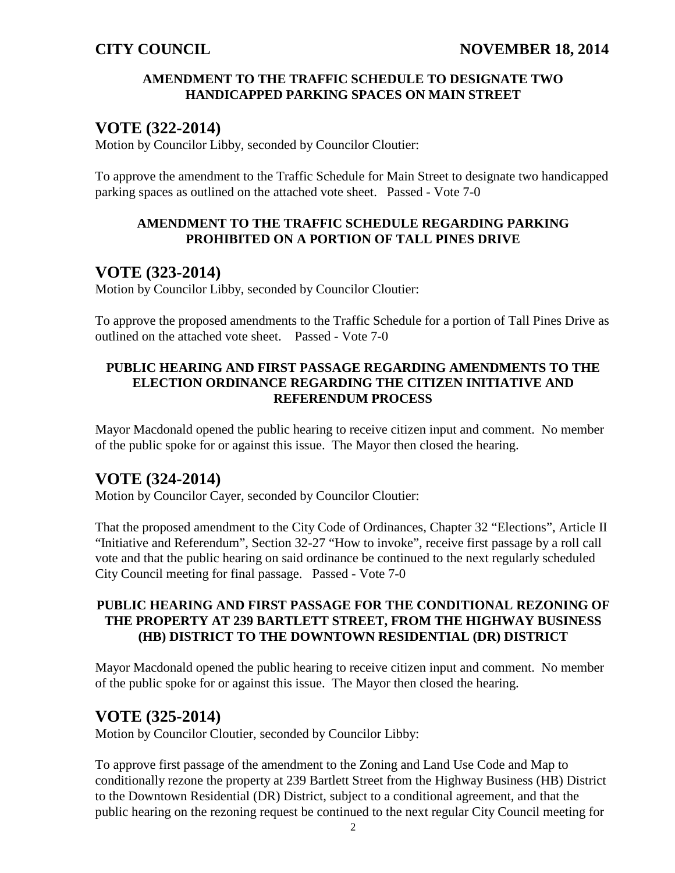### **AMENDMENT TO THE TRAFFIC SCHEDULE TO DESIGNATE TWO HANDICAPPED PARKING SPACES ON MAIN STREET**

## **VOTE (322-2014)**

Motion by Councilor Libby, seconded by Councilor Cloutier:

To approve the amendment to the Traffic Schedule for Main Street to designate two handicapped parking spaces as outlined on the attached vote sheet. Passed - Vote 7-0

#### **AMENDMENT TO THE TRAFFIC SCHEDULE REGARDING PARKING PROHIBITED ON A PORTION OF TALL PINES DRIVE**

## **VOTE (323-2014)**

Motion by Councilor Libby, seconded by Councilor Cloutier:

To approve the proposed amendments to the Traffic Schedule for a portion of Tall Pines Drive as outlined on the attached vote sheet. Passed - Vote 7-0

## **PUBLIC HEARING AND FIRST PASSAGE REGARDING AMENDMENTS TO THE ELECTION ORDINANCE REGARDING THE CITIZEN INITIATIVE AND REFERENDUM PROCESS**

Mayor Macdonald opened the public hearing to receive citizen input and comment. No member of the public spoke for or against this issue. The Mayor then closed the hearing.

## **VOTE (324-2014)**

Motion by Councilor Cayer, seconded by Councilor Cloutier:

That the proposed amendment to the City Code of Ordinances, Chapter 32 "Elections", Article II "Initiative and Referendum", Section 32-27 "How to invoke", receive first passage by a roll call vote and that the public hearing on said ordinance be continued to the next regularly scheduled City Council meeting for final passage. Passed - Vote 7-0

### **PUBLIC HEARING AND FIRST PASSAGE FOR THE CONDITIONAL REZONING OF THE PROPERTY AT 239 BARTLETT STREET, FROM THE HIGHWAY BUSINESS (HB) DISTRICT TO THE DOWNTOWN RESIDENTIAL (DR) DISTRICT**

Mayor Macdonald opened the public hearing to receive citizen input and comment. No member of the public spoke for or against this issue. The Mayor then closed the hearing.

## **VOTE (325-2014)**

Motion by Councilor Cloutier, seconded by Councilor Libby:

To approve first passage of the amendment to the Zoning and Land Use Code and Map to conditionally rezone the property at 239 Bartlett Street from the Highway Business (HB) District to the Downtown Residential (DR) District, subject to a conditional agreement, and that the public hearing on the rezoning request be continued to the next regular City Council meeting for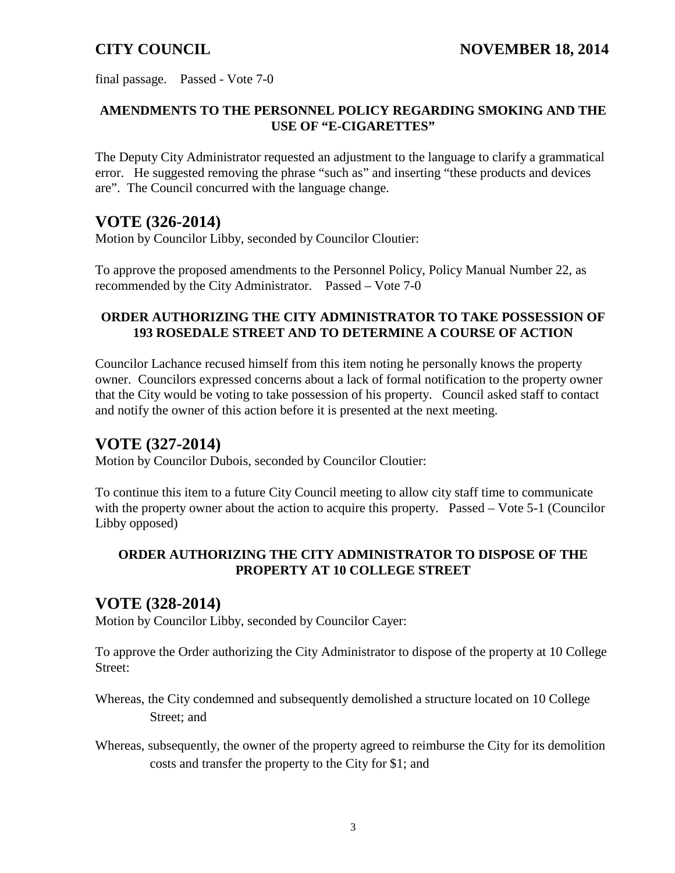final passage. Passed - Vote 7-0

## **AMENDMENTS TO THE PERSONNEL POLICY REGARDING SMOKING AND THE USE OF "E-CIGARETTES"**

The Deputy City Administrator requested an adjustment to the language to clarify a grammatical error. He suggested removing the phrase "such as" and inserting "these products and devices are". The Council concurred with the language change.

## **VOTE (326-2014)**

Motion by Councilor Libby, seconded by Councilor Cloutier:

To approve the proposed amendments to the Personnel Policy, Policy Manual Number 22, as recommended by the City Administrator. Passed – Vote 7-0

## **ORDER AUTHORIZING THE CITY ADMINISTRATOR TO TAKE POSSESSION OF 193 ROSEDALE STREET AND TO DETERMINE A COURSE OF ACTION**

Councilor Lachance recused himself from this item noting he personally knows the property owner. Councilors expressed concerns about a lack of formal notification to the property owner that the City would be voting to take possession of his property. Council asked staff to contact and notify the owner of this action before it is presented at the next meeting.

## **VOTE (327-2014)**

Motion by Councilor Dubois, seconded by Councilor Cloutier:

To continue this item to a future City Council meeting to allow city staff time to communicate with the property owner about the action to acquire this property. Passed – Vote 5-1 (Councilor Libby opposed)

## **ORDER AUTHORIZING THE CITY ADMINISTRATOR TO DISPOSE OF THE PROPERTY AT 10 COLLEGE STREET**

## **VOTE (328-2014)**

Motion by Councilor Libby, seconded by Councilor Cayer:

To approve the Order authorizing the City Administrator to dispose of the property at 10 College Street:

Whereas, the City condemned and subsequently demolished a structure located on 10 College Street; and

Whereas, subsequently, the owner of the property agreed to reimburse the City for its demolition costs and transfer the property to the City for \$1; and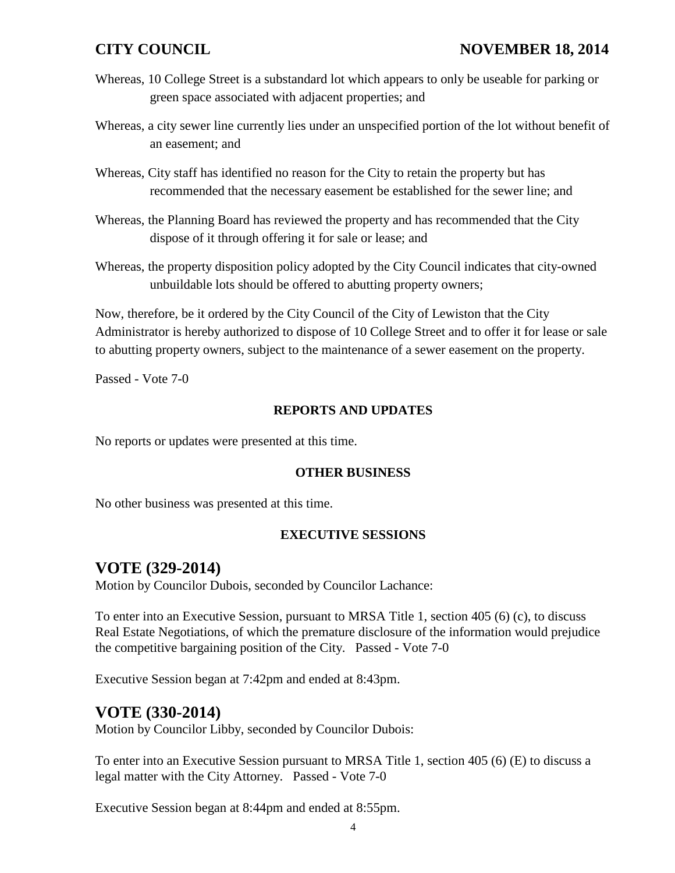## **CITY COUNCIL NOVEMBER 18, 2014**

- Whereas, 10 College Street is a substandard lot which appears to only be useable for parking or green space associated with adjacent properties; and
- Whereas, a city sewer line currently lies under an unspecified portion of the lot without benefit of an easement; and
- Whereas, City staff has identified no reason for the City to retain the property but has recommended that the necessary easement be established for the sewer line; and
- Whereas, the Planning Board has reviewed the property and has recommended that the City dispose of it through offering it for sale or lease; and
- Whereas, the property disposition policy adopted by the City Council indicates that city-owned unbuildable lots should be offered to abutting property owners;

Now, therefore, be it ordered by the City Council of the City of Lewiston that the City Administrator is hereby authorized to dispose of 10 College Street and to offer it for lease or sale to abutting property owners, subject to the maintenance of a sewer easement on the property.

Passed - Vote 7-0

#### **REPORTS AND UPDATES**

No reports or updates were presented at this time.

#### **OTHER BUSINESS**

No other business was presented at this time.

### **EXECUTIVE SESSIONS**

## **VOTE (329-2014)**

Motion by Councilor Dubois, seconded by Councilor Lachance:

To enter into an Executive Session, pursuant to MRSA Title 1, section 405 (6) (c), to discuss Real Estate Negotiations, of which the premature disclosure of the information would prejudice the competitive bargaining position of the City. Passed - Vote 7-0

Executive Session began at 7:42pm and ended at 8:43pm.

## **VOTE (330-2014)**

Motion by Councilor Libby, seconded by Councilor Dubois:

To enter into an Executive Session pursuant to MRSA Title 1, section 405 (6) (E) to discuss a legal matter with the City Attorney. Passed - Vote 7-0

Executive Session began at 8:44pm and ended at 8:55pm.